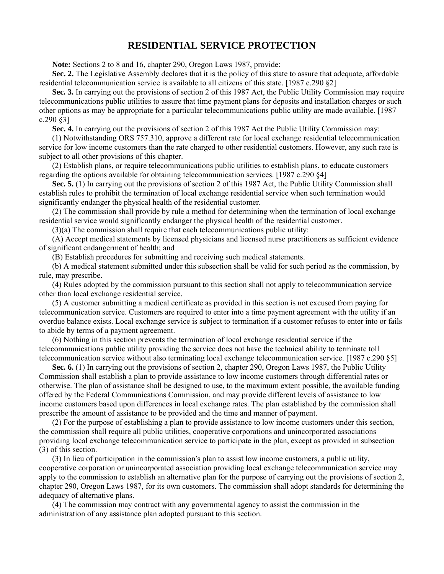## **RESIDENTIAL SERVICE PROTECTION**

 **Note:** Sections 2 to 8 and 16, chapter 290, Oregon Laws 1987, provide:

 **Sec. 2.** The Legislative Assembly declares that it is the policy of this state to assure that adequate, affordable residential telecommunication service is available to all citizens of this state. [1987 c.290 §2]

 **Sec. 3.** In carrying out the provisions of section 2 of this 1987 Act, the Public Utility Commission may require telecommunications public utilities to assure that time payment plans for deposits and installation charges or such other options as may be appropriate for a particular telecommunications public utility are made available. [1987 c.290 §3]

 **Sec. 4.** In carrying out the provisions of section 2 of this 1987 Act the Public Utility Commission may:

 (1) Notwithstanding ORS 757.310, approve a different rate for local exchange residential telecommunication service for low income customers than the rate charged to other residential customers. However, any such rate is subject to all other provisions of this chapter.

 (2) Establish plans, or require telecommunications public utilities to establish plans, to educate customers regarding the options available for obtaining telecommunication services. [1987 c.290 §4]

 **Sec. 5.** (1) In carrying out the provisions of section 2 of this 1987 Act, the Public Utility Commission shall establish rules to prohibit the termination of local exchange residential service when such termination would significantly endanger the physical health of the residential customer.

 (2) The commission shall provide by rule a method for determining when the termination of local exchange residential service would significantly endanger the physical health of the residential customer.

(3)(a) The commission shall require that each telecommunications public utility:

 (A) Accept medical statements by licensed physicians and licensed nurse practitioners as sufficient evidence of significant endangerment of health; and

(B) Establish procedures for submitting and receiving such medical statements.

 (b) A medical statement submitted under this subsection shall be valid for such period as the commission, by rule, may prescribe.

 (4) Rules adopted by the commission pursuant to this section shall not apply to telecommunication service other than local exchange residential service.

 (5) A customer submitting a medical certificate as provided in this section is not excused from paying for telecommunication service. Customers are required to enter into a time payment agreement with the utility if an overdue balance exists. Local exchange service is subject to termination if a customer refuses to enter into or fails to abide by terms of a payment agreement.

 (6) Nothing in this section prevents the termination of local exchange residential service if the telecommunications public utility providing the service does not have the technical ability to terminate toll telecommunication service without also terminating local exchange telecommunication service. [1987 c.290 §5]

**Sec. 6.** (1) In carrying out the provisions of section 2, chapter 290, Oregon Laws 1987, the Public Utility Commission shall establish a plan to provide assistance to low income customers through differential rates or otherwise. The plan of assistance shall be designed to use, to the maximum extent possible, the available funding offered by the Federal Communications Commission, and may provide different levels of assistance to low income customers based upon differences in local exchange rates. The plan established by the commission shall prescribe the amount of assistance to be provided and the time and manner of payment.

 (2) For the purpose of establishing a plan to provide assistance to low income customers under this section, the commission shall require all public utilities, cooperative corporations and unincorporated associations providing local exchange telecommunication service to participate in the plan, except as provided in subsection (3) of this section.

 (3) In lieu of participation in the commission′s plan to assist low income customers, a public utility, cooperative corporation or unincorporated association providing local exchange telecommunication service may apply to the commission to establish an alternative plan for the purpose of carrying out the provisions of section 2, chapter 290, Oregon Laws 1987, for its own customers. The commission shall adopt standards for determining the adequacy of alternative plans.

 (4) The commission may contract with any governmental agency to assist the commission in the administration of any assistance plan adopted pursuant to this section.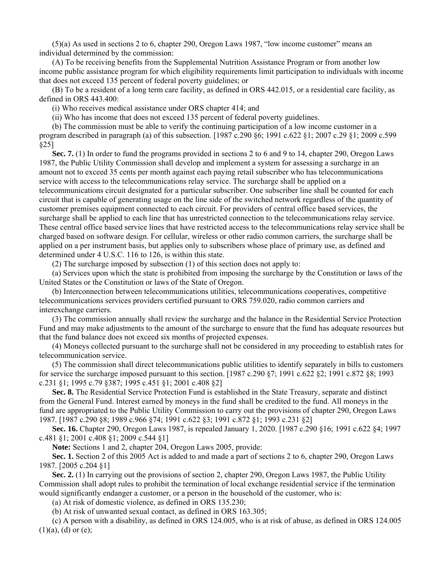(5)(a) As used in sections 2 to 6, chapter 290, Oregon Laws 1987, "low income customer" means an individual determined by the commission:

 (A) To be receiving benefits from the Supplemental Nutrition Assistance Program or from another low income public assistance program for which eligibility requirements limit participation to individuals with income that does not exceed 135 percent of federal poverty guidelines; or

 (B) To be a resident of a long term care facility, as defined in ORS 442.015, or a residential care facility, as defined in ORS 443.400:

(i) Who receives medical assistance under ORS chapter 414; and

(ii) Who has income that does not exceed 135 percent of federal poverty guidelines.

 (b) The commission must be able to verify the continuing participation of a low income customer in a program described in paragraph (a) of this subsection. [1987 c.290 §6; 1991 c.622 §1; 2007 c.29 §1; 2009 c.599 §25]

 **Sec. 7.** (1) In order to fund the programs provided in sections 2 to 6 and 9 to 14, chapter 290, Oregon Laws 1987, the Public Utility Commission shall develop and implement a system for assessing a surcharge in an amount not to exceed 35 cents per month against each paying retail subscriber who has telecommunications service with access to the telecommunications relay service. The surcharge shall be applied on a telecommunications circuit designated for a particular subscriber. One subscriber line shall be counted for each circuit that is capable of generating usage on the line side of the switched network regardless of the quantity of customer premises equipment connected to each circuit. For providers of central office based services, the surcharge shall be applied to each line that has unrestricted connection to the telecommunications relay service. These central office based service lines that have restricted access to the telecommunications relay service shall be charged based on software design. For cellular, wireless or other radio common carriers, the surcharge shall be applied on a per instrument basis, but applies only to subscribers whose place of primary use, as defined and determined under 4 U.S.C. 116 to 126, is within this state.

(2) The surcharge imposed by subsection (1) of this section does not apply to:

 (a) Services upon which the state is prohibited from imposing the surcharge by the Constitution or laws of the United States or the Constitution or laws of the State of Oregon.

 (b) Interconnection between telecommunications utilities, telecommunications cooperatives, competitive telecommunications services providers certified pursuant to ORS 759.020, radio common carriers and interexchange carriers.

 (3) The commission annually shall review the surcharge and the balance in the Residential Service Protection Fund and may make adjustments to the amount of the surcharge to ensure that the fund has adequate resources but that the fund balance does not exceed six months of projected expenses.

 (4) Moneys collected pursuant to the surcharge shall not be considered in any proceeding to establish rates for telecommunication service.

 (5) The commission shall direct telecommunications public utilities to identify separately in bills to customers for service the surcharge imposed pursuant to this section. [1987 c.290 §7; 1991 c.622 §2; 1991 c.872 §8; 1993 c.231 §1; 1995 c.79 §387; 1995 c.451 §1; 2001 c.408 §2]

 **Sec. 8.** The Residential Service Protection Fund is established in the State Treasury, separate and distinct from the General Fund. Interest earned by moneys in the fund shall be credited to the fund. All moneys in the fund are appropriated to the Public Utility Commission to carry out the provisions of chapter 290, Oregon Laws 1987. [1987 c.290 §8; 1989 c.966 §74; 1991 c.622 §3; 1991 c.872 §1; 1993 c.231 §2]

 **Sec. 16.** Chapter 290, Oregon Laws 1987, is repealed January 1, 2020. [1987 c.290 §16; 1991 c.622 §4; 1997 c.481 §1; 2001 c.408 §1; 2009 c.544 §1]

 **Note:** Sections 1 and 2, chapter 204, Oregon Laws 2005, provide:

 **Sec. 1.** Section 2 of this 2005 Act is added to and made a part of sections 2 to 6, chapter 290, Oregon Laws 1987. [2005 c.204 §1]

 **Sec. 2.** (1) In carrying out the provisions of section 2, chapter 290, Oregon Laws 1987, the Public Utility Commission shall adopt rules to prohibit the termination of local exchange residential service if the termination would significantly endanger a customer, or a person in the household of the customer, who is:

(a) At risk of domestic violence, as defined in ORS 135.230;

(b) At risk of unwanted sexual contact, as defined in ORS 163.305;

 (c) A person with a disability, as defined in ORS 124.005, who is at risk of abuse, as defined in ORS 124.005  $(1)(a)$ ,  $(d)$  or  $(e)$ ;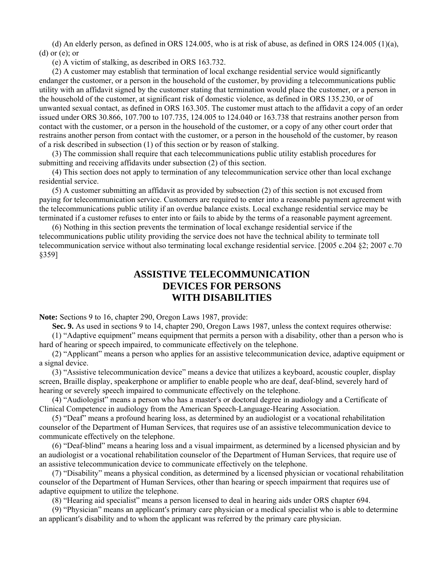(d) An elderly person, as defined in ORS 124.005, who is at risk of abuse, as defined in ORS 124.005 (1)(a), (d) or (e); or

(e) A victim of stalking, as described in ORS 163.732.

 (2) A customer may establish that termination of local exchange residential service would significantly endanger the customer, or a person in the household of the customer, by providing a telecommunications public utility with an affidavit signed by the customer stating that termination would place the customer, or a person in the household of the customer, at significant risk of domestic violence, as defined in ORS 135.230, or of unwanted sexual contact, as defined in ORS 163.305. The customer must attach to the affidavit a copy of an order issued under ORS 30.866, 107.700 to 107.735, 124.005 to 124.040 or 163.738 that restrains another person from contact with the customer, or a person in the household of the customer, or a copy of any other court order that restrains another person from contact with the customer, or a person in the household of the customer, by reason of a risk described in subsection (1) of this section or by reason of stalking.

 (3) The commission shall require that each telecommunications public utility establish procedures for submitting and receiving affidavits under subsection (2) of this section.

 (4) This section does not apply to termination of any telecommunication service other than local exchange residential service.

 (5) A customer submitting an affidavit as provided by subsection (2) of this section is not excused from paying for telecommunication service. Customers are required to enter into a reasonable payment agreement with the telecommunications public utility if an overdue balance exists. Local exchange residential service may be terminated if a customer refuses to enter into or fails to abide by the terms of a reasonable payment agreement.

 (6) Nothing in this section prevents the termination of local exchange residential service if the telecommunications public utility providing the service does not have the technical ability to terminate toll telecommunication service without also terminating local exchange residential service. [2005 c.204 §2; 2007 c.70 §359]

## **ASSISTIVE TELECOMMUNICATION DEVICES FOR PERSONS WITH DISABILITIES**

**Note:** Sections 9 to 16, chapter 290, Oregon Laws 1987, provide:

 **Sec. 9.** As used in sections 9 to 14, chapter 290, Oregon Laws 1987, unless the context requires otherwise:

 (1) "Adaptive equipment" means equipment that permits a person with a disability, other than a person who is hard of hearing or speech impaired, to communicate effectively on the telephone.

 (2) "Applicant" means a person who applies for an assistive telecommunication device, adaptive equipment or a signal device.

 (3) "Assistive telecommunication device" means a device that utilizes a keyboard, acoustic coupler, display screen, Braille display, speakerphone or amplifier to enable people who are deaf, deaf-blind, severely hard of hearing or severely speech impaired to communicate effectively on the telephone.

 (4) "Audiologist" means a person who has a master′s or doctoral degree in audiology and a Certificate of Clinical Competence in audiology from the American Speech-Language-Hearing Association.

 (5) "Deaf" means a profound hearing loss, as determined by an audiologist or a vocational rehabilitation counselor of the Department of Human Services, that requires use of an assistive telecommunication device to communicate effectively on the telephone.

 (6) "Deaf-blind" means a hearing loss and a visual impairment, as determined by a licensed physician and by an audiologist or a vocational rehabilitation counselor of the Department of Human Services, that require use of an assistive telecommunication device to communicate effectively on the telephone.

 (7) "Disability" means a physical condition, as determined by a licensed physician or vocational rehabilitation counselor of the Department of Human Services, other than hearing or speech impairment that requires use of adaptive equipment to utilize the telephone.

(8) "Hearing aid specialist" means a person licensed to deal in hearing aids under ORS chapter 694.

 (9) "Physician" means an applicant′s primary care physician or a medical specialist who is able to determine an applicant′s disability and to whom the applicant was referred by the primary care physician.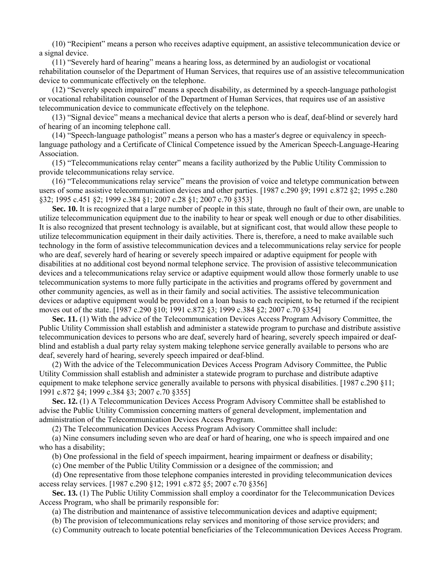(10) "Recipient" means a person who receives adaptive equipment, an assistive telecommunication device or a signal device.

 (11) "Severely hard of hearing" means a hearing loss, as determined by an audiologist or vocational rehabilitation counselor of the Department of Human Services, that requires use of an assistive telecommunication device to communicate effectively on the telephone.

 (12) "Severely speech impaired" means a speech disability, as determined by a speech-language pathologist or vocational rehabilitation counselor of the Department of Human Services, that requires use of an assistive telecommunication device to communicate effectively on the telephone.

 (13) "Signal device" means a mechanical device that alerts a person who is deaf, deaf-blind or severely hard of hearing of an incoming telephone call.

 (14) "Speech-language pathologist" means a person who has a master′s degree or equivalency in speechlanguage pathology and a Certificate of Clinical Competence issued by the American Speech-Language-Hearing Association.

 (15) "Telecommunications relay center" means a facility authorized by the Public Utility Commission to provide telecommunications relay service.

 (16) "Telecommunications relay service" means the provision of voice and teletype communication between users of some assistive telecommunication devices and other parties. [1987 c.290 §9; 1991 c.872 §2; 1995 c.280 §32; 1995 c.451 §2; 1999 c.384 §1; 2007 c.28 §1; 2007 c.70 §353]

 **Sec. 10.** It is recognized that a large number of people in this state, through no fault of their own, are unable to utilize telecommunication equipment due to the inability to hear or speak well enough or due to other disabilities. It is also recognized that present technology is available, but at significant cost, that would allow these people to utilize telecommunication equipment in their daily activities. There is, therefore, a need to make available such technology in the form of assistive telecommunication devices and a telecommunications relay service for people who are deaf, severely hard of hearing or severely speech impaired or adaptive equipment for people with disabilities at no additional cost beyond normal telephone service. The provision of assistive telecommunication devices and a telecommunications relay service or adaptive equipment would allow those formerly unable to use telecommunication systems to more fully participate in the activities and programs offered by government and other community agencies, as well as in their family and social activities. The assistive telecommunication devices or adaptive equipment would be provided on a loan basis to each recipient, to be returned if the recipient moves out of the state. [1987 c.290 §10; 1991 c.872 §3; 1999 c.384 §2; 2007 c.70 §354]

**Sec. 11.** (1) With the advice of the Telecommunication Devices Access Program Advisory Committee, the Public Utility Commission shall establish and administer a statewide program to purchase and distribute assistive telecommunication devices to persons who are deaf, severely hard of hearing, severely speech impaired or deafblind and establish a dual party relay system making telephone service generally available to persons who are deaf, severely hard of hearing, severely speech impaired or deaf-blind.

 (2) With the advice of the Telecommunication Devices Access Program Advisory Committee, the Public Utility Commission shall establish and administer a statewide program to purchase and distribute adaptive equipment to make telephone service generally available to persons with physical disabilities. [1987 c.290 §11; 1991 c.872 §4; 1999 c.384 §3; 2007 c.70 §355]

 **Sec. 12.** (1) A Telecommunication Devices Access Program Advisory Committee shall be established to advise the Public Utility Commission concerning matters of general development, implementation and administration of the Telecommunication Devices Access Program.

(2) The Telecommunication Devices Access Program Advisory Committee shall include:

 (a) Nine consumers including seven who are deaf or hard of hearing, one who is speech impaired and one who has a disability;

(b) One professional in the field of speech impairment, hearing impairment or deafness or disability;

(c) One member of the Public Utility Commission or a designee of the commission; and

 (d) One representative from those telephone companies interested in providing telecommunication devices access relay services. [1987 c.290 §12; 1991 c.872 §5; 2007 c.70 §356]

 **Sec. 13.** (1) The Public Utility Commission shall employ a coordinator for the Telecommunication Devices Access Program, who shall be primarily responsible for:

(a) The distribution and maintenance of assistive telecommunication devices and adaptive equipment;

(b) The provision of telecommunications relay services and monitoring of those service providers; and

(c) Community outreach to locate potential beneficiaries of the Telecommunication Devices Access Program.